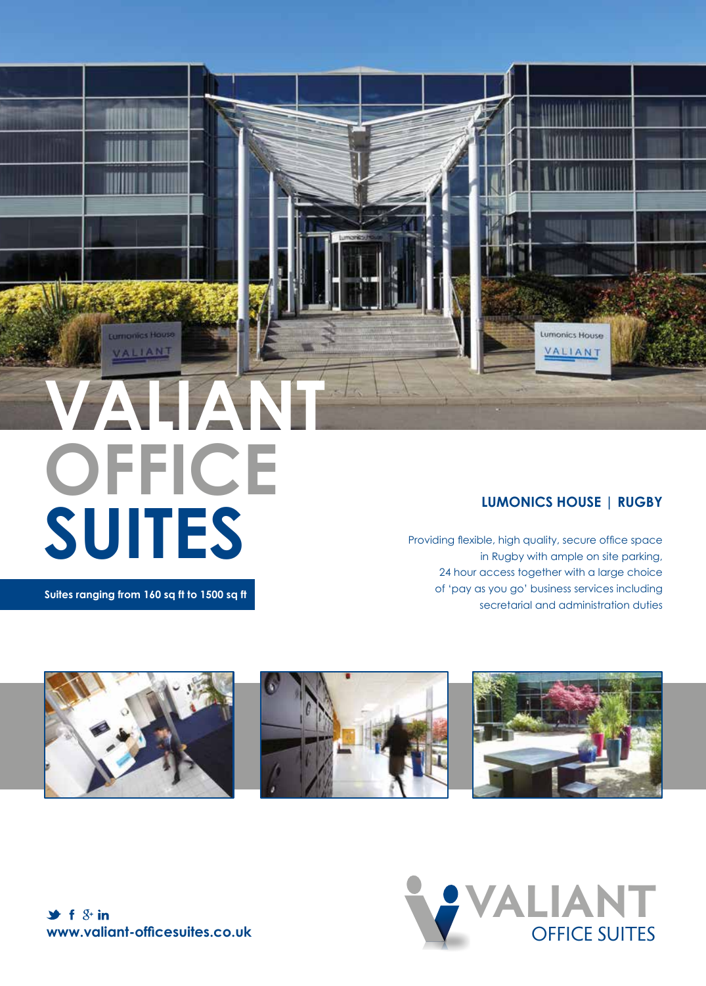# **VALIANT OFFICE SUITES**

## **LUMONICS HOUSE | RUGBY**

Lumonics House VALIANT

Providing flexible, high quality, secure office space in Rugby with ample on site parking, 24 hour access together with a large choice of 'pay as you go' business services including secretarial and administration duties

**Suites ranging from 160 sq ft to 1500 sq ft**

VALIANT



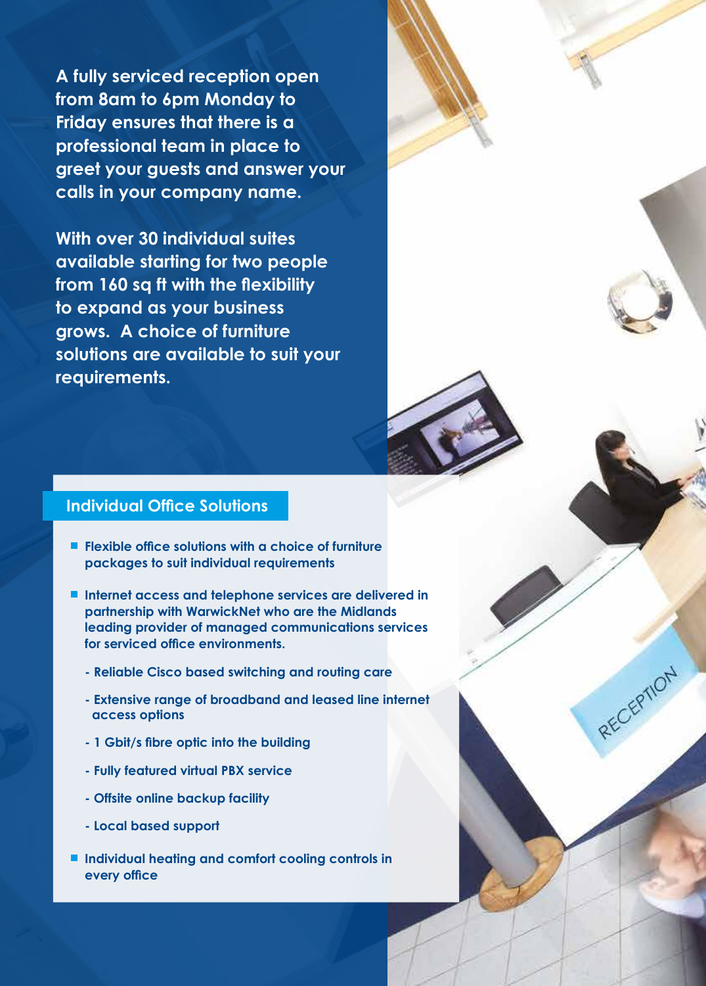**A fully serviced reception open from 8am to 6pm Monday to Friday ensures that there is a professional team in place to greet your guests and answer your calls in your company name.**

**With over 30 individual suites available starting for two people from 160 sq ft with the flexibility to expand as your business grows. A choice of furniture solutions are available to suit your requirements.** 



RECEPTION

### **Individual Office Solutions**

- **Flexible office solutions with a choice of furniture packages to suit individual requirements**
- **Internet access and telephone services are delivered in partnership with WarwickNet who are the Midlands leading provider of managed communications services for serviced office environments.**
	- **Reliable Cisco based switching and routing care**
	- **Extensive range of broadband and leased line internet access options**
	- **1 Gbit/s fibre optic into the building**
	- **Fully featured virtual PBX service**
	- **Offsite online backup facility**
	- **Local based support**
- **Individual heating and comfort cooling controls in every office**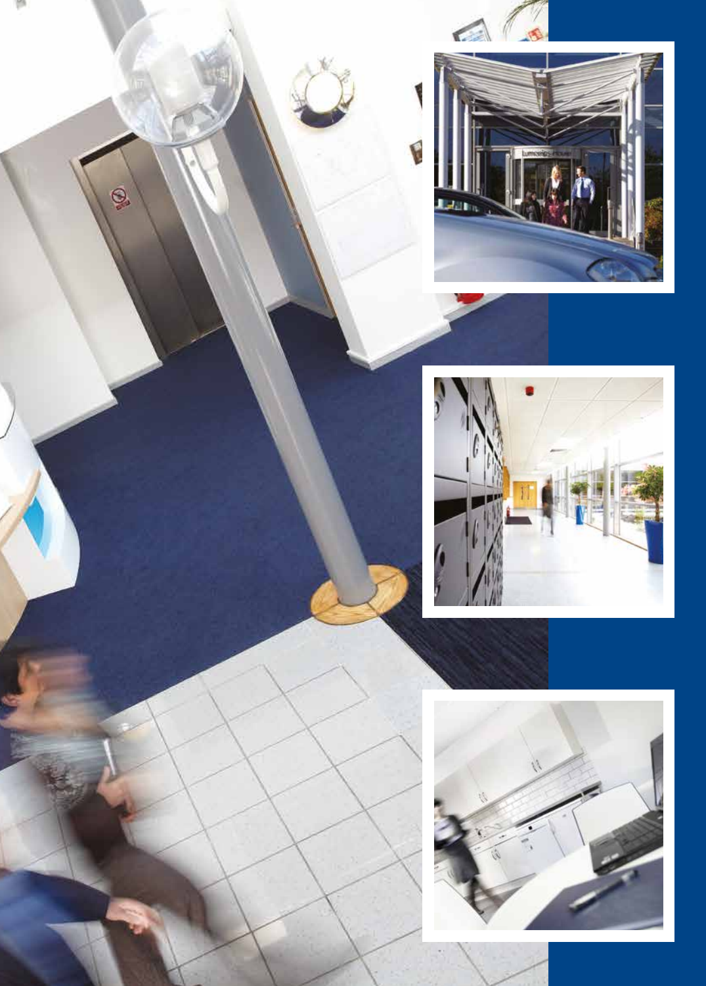

Ú

Q,





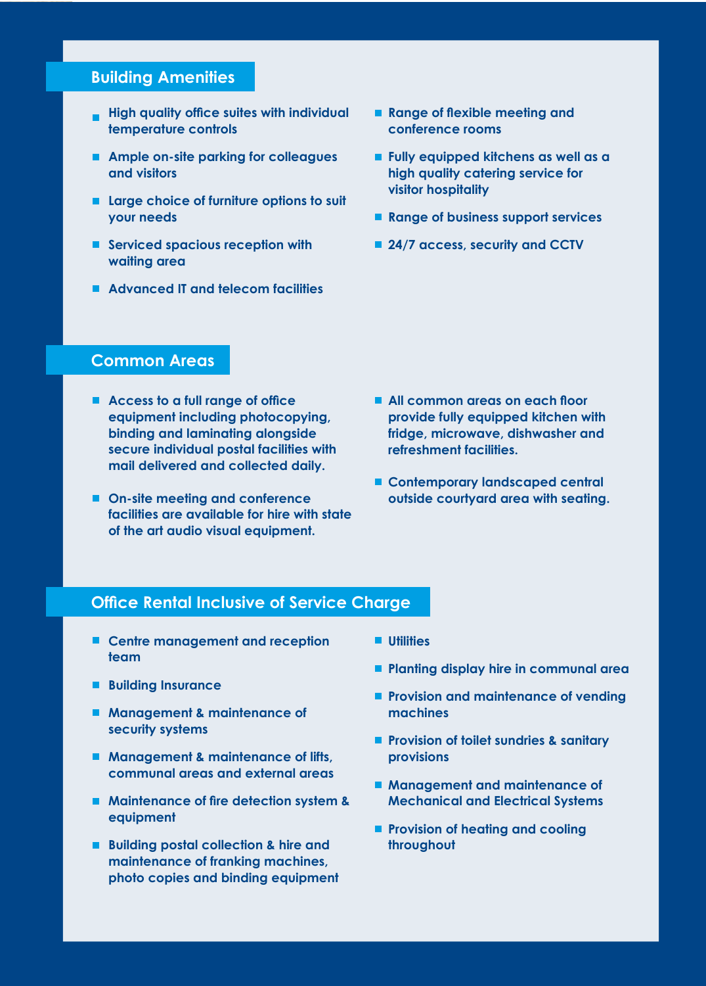#### **Building Amenities**

- **High quality office suites with individual temperature controls**
- **Ample on-site parking for colleagues and visitors**
- Large choice of furniture options to suit **your needs**
- **Serviced spacious reception with waiting area**
- **Advanced IT and telecom facilities**
- **Range of flexible meeting and conference rooms**
- **Fully equipped kitchens as well as a high quality catering service for visitor hospitality**
- Range of business support services
- 24/7 access, security and CCTV

#### **Common Areas**

- **Access to a full range of office equipment including photocopying, binding and laminating alongside secure individual postal facilities with mail delivered and collected daily.**
- On-site meeting and conference **facilities are available for hire with state of the art audio visual equipment.**
- **All common areas on each floor provide fully equipped kitchen with fridge, microwave, dishwasher and refreshment facilities.**
- **Contemporary landscaped central outside courtyard area with seating.**

#### **Office Rental Inclusive of Service Charge**

- **Centre management and reception team**
- **Building Insurance**
- Management & maintenance of **security systems**
- Management & maintenance of lifts, **communal areas and external areas**
- Maintenance of fire detection system & **equipment**
- Building postal collection & hire and **maintenance of franking machines, photo copies and binding equipment**
- **Utilities**
- **Planting display hire in communal area**
- **Provision and maintenance of vending machines**
- **Provision of toilet sundries & sanitary provisions**
- Management and maintenance of **Mechanical and Electrical Systems**
- **Provision of heating and cooling throughout**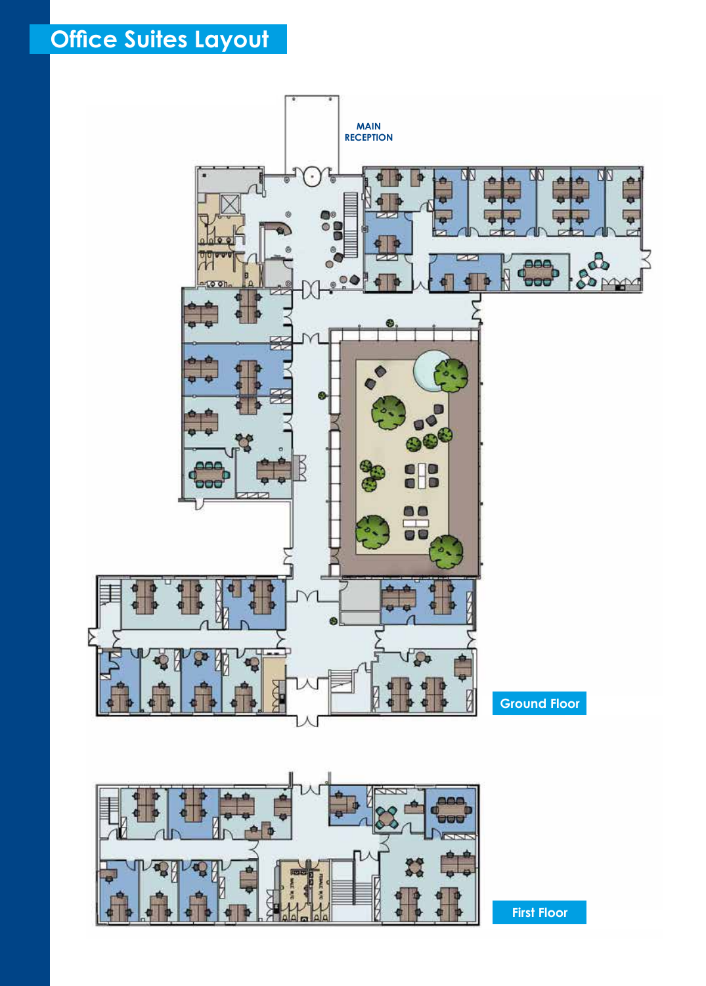**Office Suites Layout**





**First Floor**